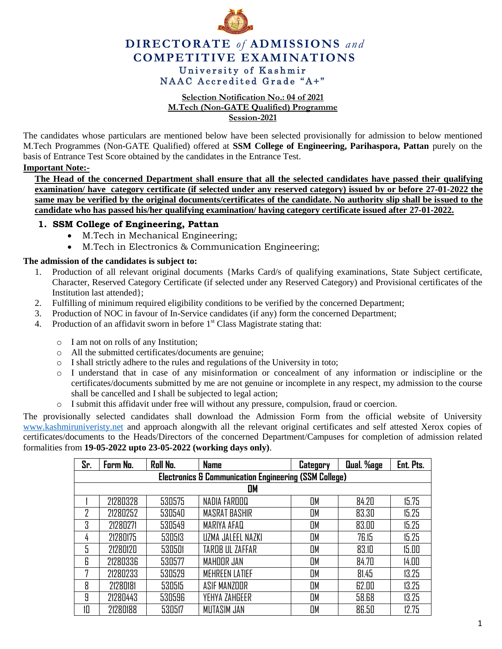

# **DIRECTORATE** *of* **ADMISSIONS** *and* **COMPETITIVE EXAMINATIONS** University of Kashmir NAAC Accredited Grade "A+"

#### **Selection Notification No.: 04 of 2021 M.Tech (Non-GATE Qualified) Programme Session-2021**

The candidates whose particulars are mentioned below have been selected provisionally for admission to below mentioned M.Tech Programmes (Non-GATE Qualified) offered at **SSM College of Engineering, Parihaspora, Pattan** purely on the basis of Entrance Test Score obtained by the candidates in the Entrance Test.

### **Important Note:-**

**The Head of the concerned Department shall ensure that all the selected candidates have passed their qualifying examination/ have category certificate (if selected under any reserved category) issued by or before 27-01-2022 the same may be verified by the original documents/certificates of the candidate. No authority slip shall be issued to the candidate who has passed his/her qualifying examination/ having category certificate issued after 27-01-2022.** 

## **1. SSM College of Engineering, Pattan**

- M.Tech in Mechanical Engineering;
- M.Tech in Electronics & Communication Engineering;

#### **The admission of the candidates is subject to:**

- 1. Production of all relevant original documents {Marks Card/s of qualifying examinations, State Subject certificate, Character, Reserved Category Certificate (if selected under any Reserved Category) and Provisional certificates of the Institution last attended};
- 2. Fulfilling of minimum required eligibility conditions to be verified by the concerned Department;
- 3. Production of NOC in favour of In-Service candidates (if any) form the concerned Department;
- 4. Production of an affidavit sworn in before  $1<sup>st</sup>$  Class Magistrate stating that:
	- o I am not on rolls of any Institution;
	- o All the submitted certificates/documents are genuine;
	- o I shall strictly adhere to the rules and regulations of the University in toto;
	- o I understand that in case of any misinformation or concealment of any information or indiscipline or the certificates/documents submitted by me are not genuine or incomplete in any respect, my admission to the course shall be cancelled and I shall be subjected to legal action;
	- o I submit this affidavit under free will without any pressure, compulsion, fraud or coercion.

The provisionally selected candidates shall download the Admission Form from the official website of University [www.kashmiruniveristy.net](http://www.kashmiruniveristy.net/) and approach alongwith all the relevant original certificates and self attested Xerox copies of certificates/documents to the Heads/Directors of the concerned Department/Campuses for completion of admission related formalities from **19-05-2022 upto 23-05-2022 (working days only)**.

| Sr.                                                              | Form No. | Roll No. | <b>Name</b>           | Category | Qual. %age | Ent. Pts. |  |  |  |  |  |
|------------------------------------------------------------------|----------|----------|-----------------------|----------|------------|-----------|--|--|--|--|--|
| <b>Electronics &amp; Communication Engineering (SSM College)</b> |          |          |                       |          |            |           |  |  |  |  |  |
| OM                                                               |          |          |                       |          |            |           |  |  |  |  |  |
|                                                                  | 21280328 | 530575   | NADIA FAROOQ          | OM       | 84.20      | 15.75     |  |  |  |  |  |
| 7                                                                | 21280252 | 530540   | MASRAT BASHIR         | OM       | 83.30      | 15.25     |  |  |  |  |  |
| 3                                                                | 21280271 | 530549   | MARIYA AFAQ           | OM       | 83.00      | 15.25     |  |  |  |  |  |
| 4                                                                | 21280175 | 530513   | UZMA JALEEL NAZKI     | OM       | 76.15      | 15.25     |  |  |  |  |  |
| 5                                                                | 21280120 | 530501   | TAROB UL ZAFFAR       | OM       | 83.10      | 15.00     |  |  |  |  |  |
| 6                                                                | 21280336 | 530577   | MAHOOR JAN            | OM       | 84.70      | 14.00     |  |  |  |  |  |
| 7                                                                | 21280233 | 530529   | <b>MEHREEN LATIEF</b> | OM       | 81.45      | 13.25     |  |  |  |  |  |
| 8                                                                | 21280181 | 530515   | ASIF MANZOOR          | OM       | 62.00      | 13.25     |  |  |  |  |  |
| 9                                                                | 21280443 | 530596   | YEHYA ZAHGEER         | OM       | 58.68      | 13.25     |  |  |  |  |  |
| 10                                                               | 21280188 | 530517   | MUTASIM JAN           | OM       | 86.50      | 12.75     |  |  |  |  |  |